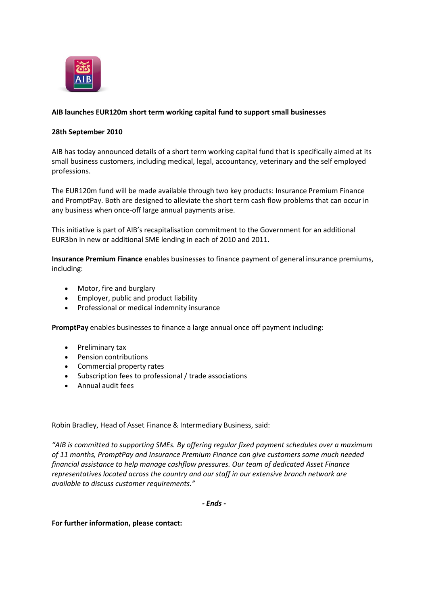

## **AIB launches EUR120m short term working capital fund to support small businesses**

## **28th September 2010**

AIB has today announced details of a short term working capital fund that is specifically aimed at its small business customers, including medical, legal, accountancy, veterinary and the self employed professions.

The EUR120m fund will be made available through two key products: Insurance Premium Finance and PromptPay. Both are designed to alleviate the short term cash flow problems that can occur in any business when once-off large annual payments arise.

This initiative is part of AIB's recapitalisation commitment to the Government for an additional EUR3bn in new or additional SME lending in each of 2010 and 2011.

**Insurance Premium Finance** enables businesses to finance payment of general insurance premiums, including:

- Motor, fire and burglary
- Employer, public and product liability
- Professional or medical indemnity insurance

**PromptPay** enables businesses to finance a large annual once off payment including:

- Preliminary tax
- Pension contributions
- Commercial property rates
- Subscription fees to professional / trade associations
- Annual audit fees

Robin Bradley, Head of Asset Finance & Intermediary Business, said:

*"AIB is committed to supporting SMEs. By offering regular fixed payment schedules over a maximum of 11 months, PromptPay and Insurance Premium Finance can give customers some much needed financial assistance to help manage cashflow pressures. Our team of dedicated Asset Finance representatives located across the country and our staff in our extensive branch network are available to discuss customer requirements."*

*- Ends -*

**For further information, please contact:**